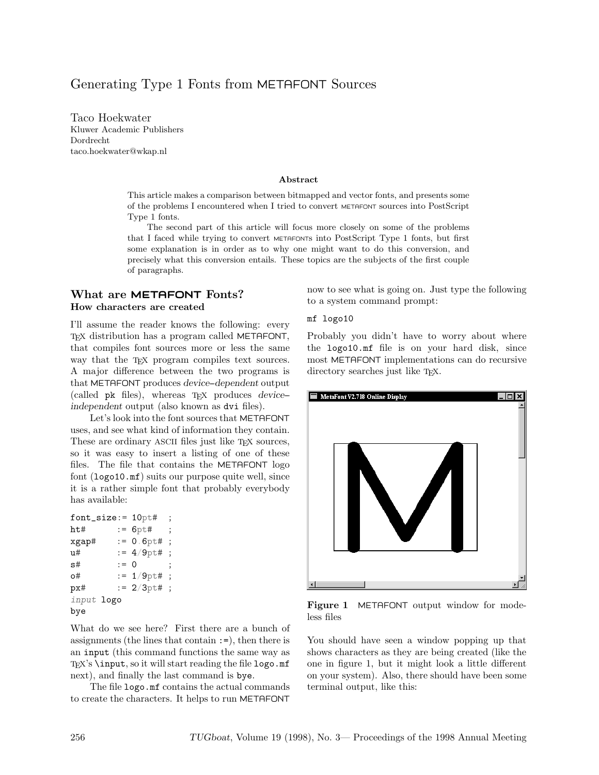# Generating Type 1 Fonts from METAFONT Sources

Taco Hoekwater Kluwer Academic Publishers Dordrecht taco.hoekwater@wkap.nl

#### Abstract

This article makes a comparison between bitmapped and vector fonts, and presents some of the problems I encountered when I tried to convert METAFONT sources into PostScript Type 1 fonts.

The second part of this article will focus more closely on some of the problems that I faced while trying to convert METAFONTs into PostScript Type 1 fonts, but first some explanation is in order as to why one might want to do this conversion, and precisely what this conversion entails. These topics are the subjects of the first couple of paragraphs.

### What are METAFONT Fonts? How characters are created

I'll assume the reader knows the following: every TEX distribution has a program called METAFONT, that compiles font sources more or less the same way that the TEX program compiles text sources. A major difference between the two programs is that METAFONT produces device-dependent output (called  $pk$  files), whereas  $T<sub>F</sub>X$  produces *device*independent output (also known as dvi files).

Let's look into the font sources that METAFONT uses, and see what kind of information they contain. These are ordinary ASCII files just like T<sub>EX</sub> sources, so it was easy to insert a listing of one of these files. The file that contains the METAFONT logo font (logo10.mf) suits our purpose quite well, since it is a rather simple font that probably everybody has available:

| $font\_size := 10pt\#$ |        |               | :                    |
|------------------------|--------|---------------|----------------------|
| ht#                    |        | $:= 6p \pm 4$ | :                    |
| xgap#                  |        | $:= 0.6pt#$   | $\ddot{\phantom{a}}$ |
| u#                     |        | $:= 4/9$ pt#  | $\ddot{\cdot}$       |
| s#                     | $:= 0$ |               | ;                    |
| o#                     |        | $:= 1/9$ pt#  | $\ddot{\cdot}$       |
| px#                    |        | $:= 2/3$ pt#  | $\ddot{\cdot}$       |
| input logo             |        |               |                      |
| bye                    |        |               |                      |

What do we see here? First there are a bunch of assignments (the lines that contain :=), then there is an input (this command functions the same way as T<sub>E</sub>X's \input, so it will start reading the file  $logo$ .mf next), and finally the last command is bye.

The file logo.mf contains the actual commands to create the characters. It helps to run METAFONT

now to see what is going on. Just type the following to a system command prompt:

#### mf logo10

Probably you didn't have to worry about where the logo10.mf file is on your hard disk, since most METAFONT implementations can do recursive directory searches just like T<sub>E</sub>X.



Figure 1 METAFONT output window for modeless files

You should have seen a window popping up that shows characters as they are being created (like the one in figure 1, but it might look a little different on your system). Also, there should have been some terminal output, like this: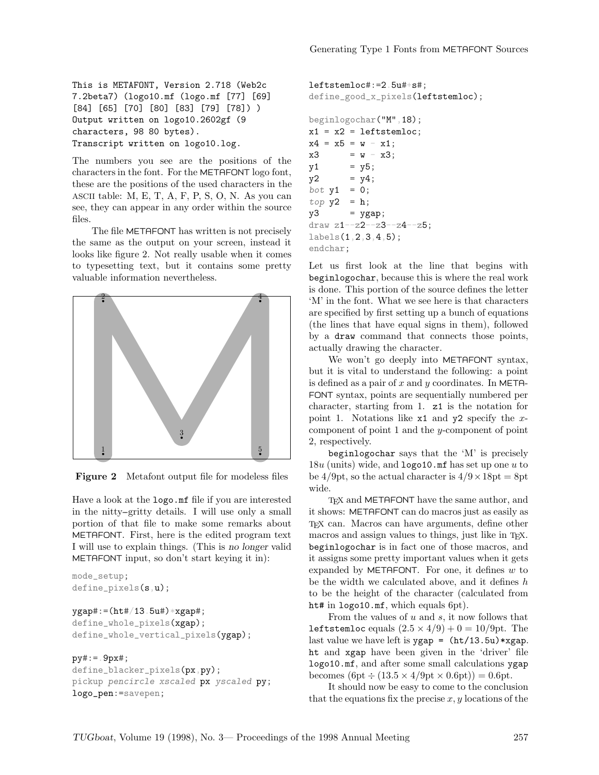This is METAFONT, Version 2.718 (Web2c 7.2beta7) (logo10.mf (logo.mf [77] [69] [84] [65] [70] [80] [83] [79] [78]) ) Output written on logo10.2602gf (9 characters, 98 80 bytes). Transcript written on logo10.log.

The numbers you see are the positions of the characters in the font. For the METAFONT logo font, these are the positions of the used characters in the ASCII table: M, E, T, A, F, P, S, O, N. As you can see, they can appear in any order within the source files.

The file METAFONT has written is not precisely the same as the output on your screen, instead it looks like figure 2. Not really usable when it comes to typesetting text, but it contains some pretty valuable information nevertheless.



Figure 2 Metafont output file for modeless files

Have a look at the logo.mf file if you are interested in the nitty-gritty details. I will use only a small portion of that file to make some remarks about METAFONT. First, here is the edited program text I will use to explain things. (This is no longer valid METAFONT input, so don't start keying it in):

```
mode_setup;
define_pixels(s,u);
```

```
ygap#:=(ht#/13.5u#)*xgap#;
define_whole_pixels(xgap);
define_whole_vertical_pixels(ygap);
```
#### $py# := 9px#;$

```
define_blacker_pixels(px,py);
pickup pencircle xscaled px yscaled py;
logo_pen:=savepen;
```

```
leftstemloc#:=2.5u#+s#;
define_good_x_pixels(leftstemloc);
beginlogochar("M",18);
x1 = x2 = leftstemloc;
x4 = x5 = w - x1;
x3 = w - x3;y1 = y5;y2 = y4;bot y1 = 0;
top y2 = h;
y3 = ygap;draw z1--z2--z3--z4--z5;
labels(1,2,3,4,5);
endchar;
```
Let us first look at the line that begins with beginlogochar, because this is where the real work is done. This portion of the source defines the letter 'M' in the font. What we see here is that characters are specified by first setting up a bunch of equations (the lines that have equal signs in them), followed by a draw command that connects those points, actually drawing the character.

We won't go deeply into METAFONT syntax, but it is vital to understand the following: a point is defined as a pair of  $x$  and  $y$  coordinates. In META-FONT syntax, points are sequentially numbered per character, starting from 1. z1 is the notation for point 1. Notations like  $x1$  and  $y2$  specify the xcomponent of point 1 and the y-component of point 2, respectively.

beginlogochar says that the 'M' is precisely  $18u$  (units) wide, and **logo10**.mf has set up one u to be 4/9pt, so the actual character is  $4/9 \times 18pt = 8pt$ wide.

T<sub>E</sub>X and METAFONT have the same author, and it shows: METAFONT can do macros just as easily as TEX can. Macros can have arguments, define other macros and assign values to things, just like in TEX. beginlogochar is in fact one of those macros, and it assigns some pretty important values when it gets expanded by METAFONT. For one, it defines  $w$  to be the width we calculated above, and it defines  $h$ to be the height of the character (calculated from ht# in logo10.mf, which equals 6pt).

From the values of  $u$  and  $s$ , it now follows that leftstemloc equals  $(2.5 \times 4/9) + 0 = 10/9$ pt. The last value we have left is  $ygap = (ht/13.5u) * xgap$ . ht and xgap have been given in the 'driver' file logo10.mf, and after some small calculations ygap becomes  $(6pt \div (13.5 \times 4/9pt \times 0.6pt)) = 0.6pt.$ 

It should now be easy to come to the conclusion that the equations fix the precise  $x, y$  locations of the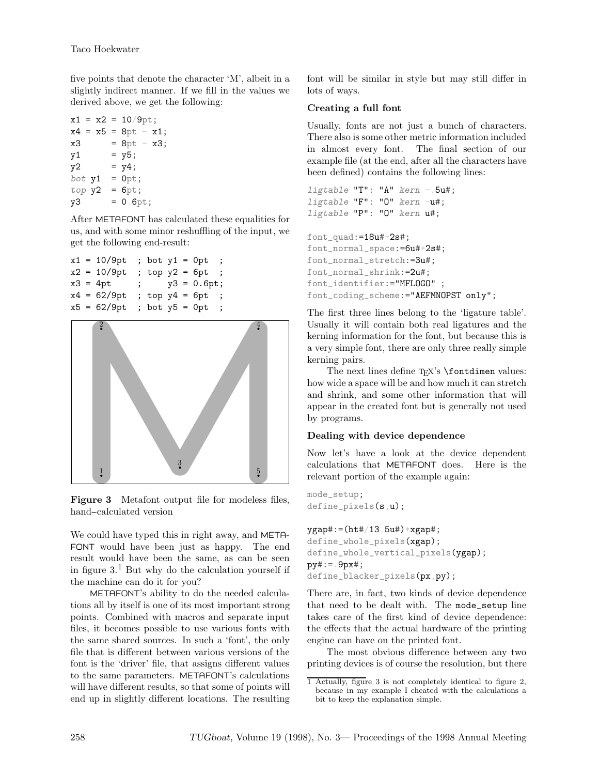five points that denote the character 'M', albeit in a slightly indirect manner. If we fill in the values we derived above, we get the following:

 $x1 = x2 = 10/9$ pt;  $x4 = x5 = 8pt - x1$ ;  $x3 = 8pt - x3;$  $y1 = y5;$  $y2 = y4;$ bot  $y1 = 0$ pt;  $top y2 = 6pt;$  $y3 = 0.6pt;$ 

After METAFONT has calculated these equalities for us, and with some minor reshuffling of the input, we get the following end-result:

```
x1 = 10/9pt ; bot y1 = 0pt ;
x2 = 10/9pt ; top y2 = 6pt ;
x3 = 4pt ; y3 = 0.6pt;x4 = 62/9pt ; top y4 = 6pt ;
x5 = 62/9pt ; bot y5 = 0pt ;
```


Figure 3 Metafont output file for modeless files, hand-calculated version

We could have typed this in right away, and META-FONT would have been just as happy. The end result would have been the same, as can be seen in figure  $3<sup>1</sup>$  But why do the calculation yourself if the machine can do it for you?

METAFONT's ability to do the needed calculations all by itself is one of its most important strong points. Combined with macros and separate input files, it becomes possible to use various fonts with the same shared sources. In such a 'font', the only file that is different between various versions of the font is the 'driver' file, that assigns different values to the same parameters. METAFONT's calculations will have different results, so that some of points will end up in slightly different locations. The resulting font will be similar in style but may still differ in lots of ways.

# Creating a full font

Usually, fonts are not just a bunch of characters. There also is some other metric information included in almost every font. The final section of our example file (at the end, after all the characters have been defined) contains the following lines:

```
ligtable "T": "A" kern -. 5u#;
ligtable "F": "O" kern -u#;
ligtable "P": "O" kern u#;
```

```
font<sub>quad:</sub>=18u#+2s#;
font_normal_space:=6u#+2s#;
font_normal_stretch:=3u#;
font_normal_shrink:=2u#;
font_identifier:="MFLOGO" ;
font_coding_scheme:="AEFMNOPST only";
```
The first three lines belong to the 'ligature table'. Usually it will contain both real ligatures and the kerning information for the font, but because this is a very simple font, there are only three really simple kerning pairs.

The next lines define  $T_{EX}$ 's  $\font$ how wide a space will be and how much it can stretch and shrink, and some other information that will appear in the created font but is generally not used by programs.

## Dealing with device dependence

Now let's have a look at the device dependent calculations that METAFONT does. Here is the relevant portion of the example again:

```
mode_setup;
define_pixels(s,u);
```

```
ygap\#:= (ht\#/13.5u\#)*xgap\#;define_whole_pixels(xgap);
define_whole_vertical_pixels(vgap);
py#:=.9px#;
define_blacker_pixels(px,py);
```
There are, in fact, two kinds of device dependence that need to be dealt with. The mode\_setup line takes care of the first kind of device dependence: the effects that the actual hardware of the printing engine can have on the printed font.

The most obvious difference between any two printing devices is of course the resolution, but there

<sup>1</sup> Actually, figure 3 is not completely identical to figure 2, because in my example I cheated with the calculations a bit to keep the explanation simple.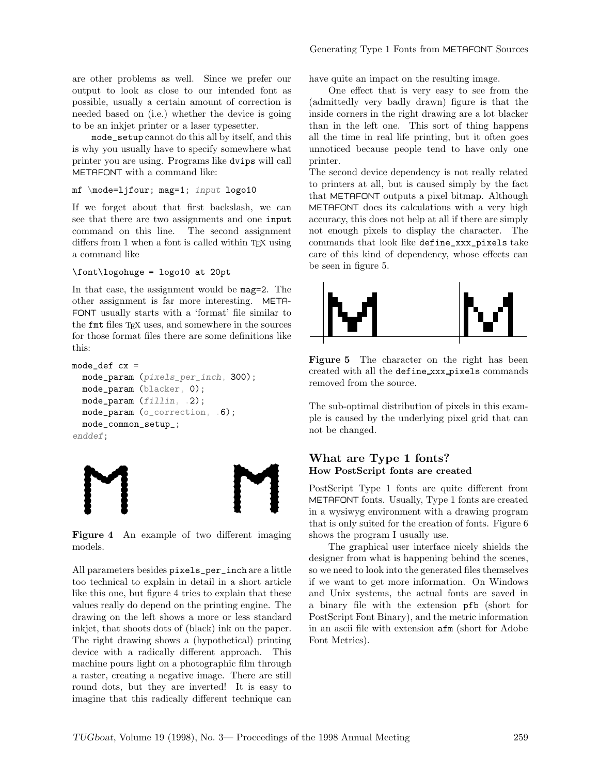are other problems as well. Since we prefer our output to look as close to our intended font as possible, usually a certain amount of correction is needed based on (i.e.) whether the device is going to be an inkjet printer or a laser typesetter.

mode\_setup cannot do this all by itself, and this is why you usually have to specify somewhere what printer you are using. Programs like dvips will call METAFONT with a command like:

```
mf \mode=ljfour; mag=1; input logo10
```
If we forget about that first backslash, we can see that there are two assignments and one input command on this line. The second assignment differs from  $1$  when a font is called within T<sub>E</sub>X using a command like

\font\logohuge = logo10 at 20pt

In that case, the assignment would be mag=2. The other assignment is far more interesting. META-FONT usually starts with a 'format' file similar to the fmt files T<sub>EX</sub> uses, and somewhere in the sources for those format files there are some definitions like this:

```
mode\_def cx =mode_param (pixels_per_inch, 300);
 mode_param (blacker, 0);
 mode_param (fillin, .2);
 mode_param (o_correction, .6);
 mode_common_setup_;
enddef;
```


Figure 4 An example of two different imaging models.

All parameters besides pixels\_per\_inch are a little too technical to explain in detail in a short article like this one, but figure 4 tries to explain that these values really do depend on the printing engine. The drawing on the left shows a more or less standard inkjet, that shoots dots of (black) ink on the paper. The right drawing shows a (hypothetical) printing device with a radically different approach. This machine pours light on a photographic film through a raster, creating a negative image. There are still round dots, but they are inverted! It is easy to imagine that this radically different technique can

have quite an impact on the resulting image.

One effect that is very easy to see from the (admittedly very badly drawn) figure is that the inside corners in the right drawing are a lot blacker than in the left one. This sort of thing happens all the time in real life printing, but it often goes unnoticed because people tend to have only one printer.

The second device dependency is not really related to printers at all, but is caused simply by the fact that METAFONT outputs a pixel bitmap. Although METAFONT does its calculations with a very high accuracy, this does not help at all if there are simply not enough pixels to display the character. The commands that look like define\_xxx\_pixels take care of this kind of dependency, whose effects can be seen in figure 5.



Figure 5 The character on the right has been created with all the define xxx pixels commands removed from the source.

The sub-optimal distribution of pixels in this example is caused by the underlying pixel grid that can not be changed.

## What are Type 1 fonts? How PostScript fonts are created

PostScript Type 1 fonts are quite different from METAFONT fonts. Usually, Type 1 fonts are created in a wysiwyg environment with a drawing program that is only suited for the creation of fonts. Figure 6 shows the program I usually use.

The graphical user interface nicely shields the designer from what is happening behind the scenes, so we need to look into the generated files themselves if we want to get more information. On Windows and Unix systems, the actual fonts are saved in a binary file with the extension pfb (short for PostScript Font Binary), and the metric information in an ascii file with extension afm (short for Adobe Font Metrics).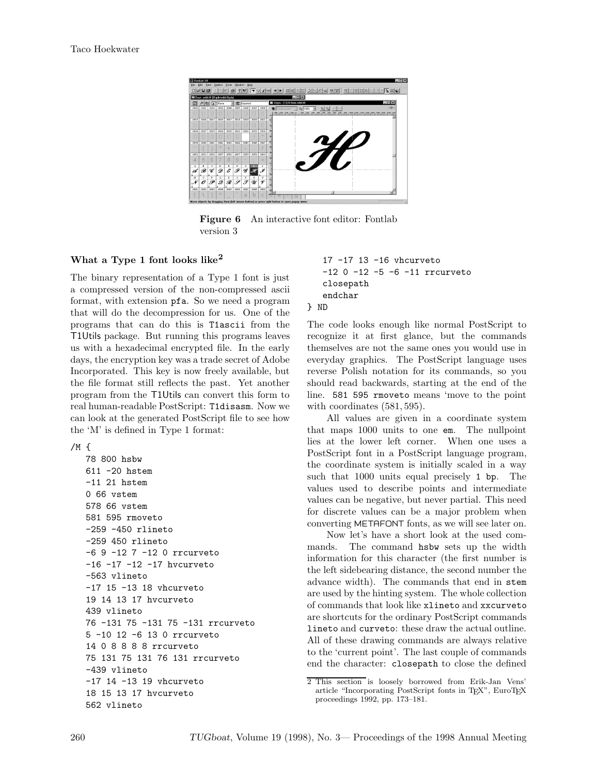

Figure 6 An interactive font editor: Fontlab version 3

## What a Type 1 font looks like<sup>2</sup>

The binary representation of a Type 1 font is just a compressed version of the non-compressed ascii format, with extension pfa. So we need a program that will do the decompression for us. One of the programs that can do this is T1ascii from the T1Utils package. But running this programs leaves us with a hexadecimal encrypted file. In the early days, the encryption key was a trade secret of Adobe Incorporated. This key is now freely available, but the file format still reflects the past. Yet another program from the T1Utils can convert this form to real human-readable PostScript: T1disasm. Now we can look at the generated PostScript file to see how the 'M' is defined in Type 1 format:

```
/M \{
```

```
78 800 hsbw
611 -20 hstem
-11 21 hstem
0 66 vstem
578 66 vstem
581 595 rmoveto
-259 -450 rlineto
-259 450 rlineto
-6 9 -12 7 -12 0 rrcurveto
-16 -17 -12 -17 hvcurveto
-563 vlineto
-17 15 -13 18 vhcurveto
19 14 13 17 hvcurveto
439 vlineto
76 -131 75 -131 75 -131 rrcurveto
5 -10 12 -6 13 0 rrcurveto
14 0 8 8 8 8 rrcurveto
75 131 75 131 76 131 rrcurveto
-439 vlineto
-17 14 -13 19 vhcurveto
18 15 13 17 hvcurveto
562 vlineto
```

```
17 -17 13 -16 vhcurveto
   -12 0 -12 -5 -6 -11 rrcurveto
   closepath
   endchar
} ND
```
The code looks enough like normal PostScript to recognize it at first glance, but the commands themselves are not the same ones you would use in everyday graphics. The PostScript language uses reverse Polish notation for its commands, so you should read backwards, starting at the end of the line. 581 595 rmoveto means 'move to the point with coordinates (581, 595).

All values are given in a coordinate system that maps 1000 units to one em. The nullpoint lies at the lower left corner. When one uses a PostScript font in a PostScript language program, the coordinate system is initially scaled in a way such that 1000 units equal precisely 1 bp. The values used to describe points and intermediate values can be negative, but never partial. This need for discrete values can be a major problem when converting METAFONT fonts, as we will see later on.

Now let's have a short look at the used commands. The command hsbw sets up the width information for this character (the first number is the left sidebearing distance, the second number the advance width). The commands that end in stem are used by the hinting system. The whole collection of commands that look like xlineto and xxcurveto are shortcuts for the ordinary PostScript commands lineto and curveto: these draw the actual outline. All of these drawing commands are always relative to the 'current point'. The last couple of commands end the character: closepath to close the defined

<sup>2</sup> This section is loosely borrowed from Erik-Jan Vens' article "Incorporating PostScript fonts in TEX", EuroTEX proceedings 1992, pp. 173–181.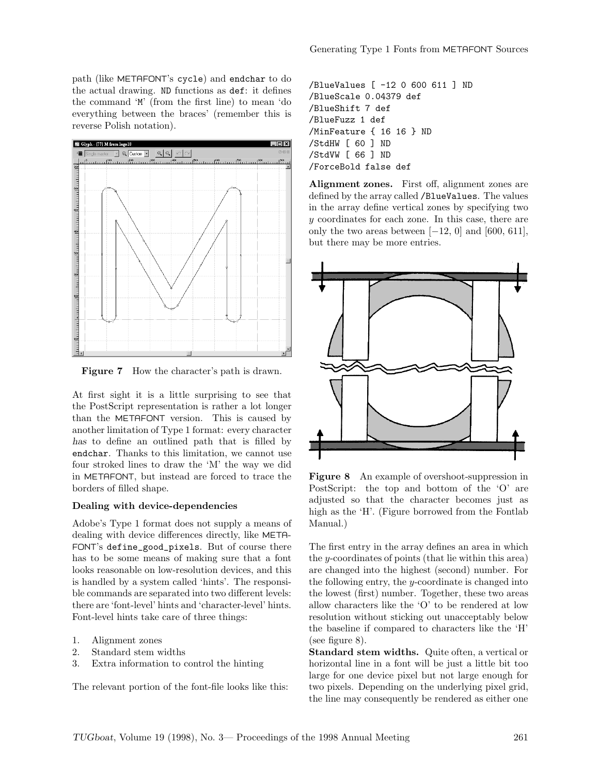path (like METAFONT's cycle) and endchar to do the actual drawing. ND functions as def: it defines the command 'M' (from the first line) to mean 'do everything between the braces' (remember this is reverse Polish notation).



Figure 7 How the character's path is drawn.

At first sight it is a little surprising to see that the PostScript representation is rather a lot longer than the METAFONT version. This is caused by another limitation of Type 1 format: every character has to define an outlined path that is filled by endchar. Thanks to this limitation, we cannot use four stroked lines to draw the 'M' the way we did in METAFONT, but instead are forced to trace the borders of filled shape.

#### Dealing with device-dependencies

Adobe's Type 1 format does not supply a means of dealing with device differences directly, like META-FONT's define\_good\_pixels. But of course there has to be some means of making sure that a font looks reasonable on low-resolution devices, and this is handled by a system called 'hints'. The responsible commands are separated into two different levels: there are 'font-level' hints and 'character-level' hints. Font-level hints take care of three things:

- 1. Alignment zones
- 2. Standard stem widths
- 3. Extra information to control the hinting

The relevant portion of the font-file looks like this:

```
/BlueValues [ -12 0 600 611 ] ND
/BlueScale 0.04379 def
/BlueShift 7 def
/BlueFuzz 1 def
/MinFeature { 16 16 } ND
/StdHW [ 60 ] ND
/StdVW [ 66 ] ND
/ForceBold false def
```
Alignment zones. First off, alignment zones are defined by the array called /BlueValues. The values in the array define vertical zones by specifying two y coordinates for each zone. In this case, there are only the two areas between  $[-12, 0]$  and  $[600, 611]$ , but there may be more entries.



Figure 8 An example of overshoot-suppression in PostScript: the top and bottom of the 'O' are adjusted so that the character becomes just as high as the 'H'. (Figure borrowed from the Fontlab Manual.)

The first entry in the array defines an area in which the y-coordinates of points (that lie within this area) are changed into the highest (second) number. For the following entry, the  $y$ -coordinate is changed into the lowest (first) number. Together, these two areas allow characters like the 'O' to be rendered at low resolution without sticking out unacceptably below the baseline if compared to characters like the 'H' (see figure 8).

Standard stem widths. Quite often, a vertical or horizontal line in a font will be just a little bit too large for one device pixel but not large enough for two pixels. Depending on the underlying pixel grid, the line may consequently be rendered as either one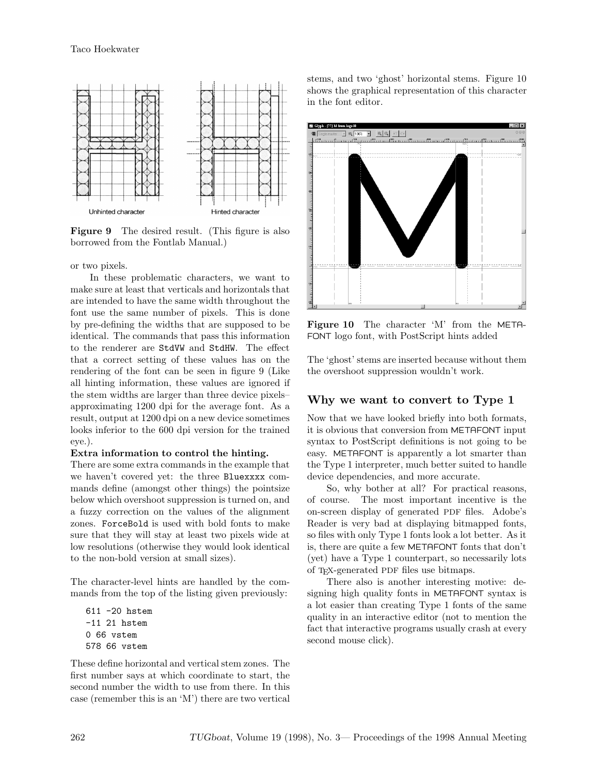

Figure 9 The desired result. (This figure is also borrowed from the Fontlab Manual.)

or two pixels.

In these problematic characters, we want to make sure at least that verticals and horizontals that are intended to have the same width throughout the font use the same number of pixels. This is done by pre-defining the widths that are supposed to be identical. The commands that pass this information to the renderer are StdVW and StdHW. The effect that a correct setting of these values has on the rendering of the font can be seen in figure 9 (Like all hinting information, these values are ignored if the stem widths are larger than three device pixels– approximating 1200 dpi for the average font. As a result, output at 1200 dpi on a new device sometimes looks inferior to the 600 dpi version for the trained eye.).

#### Extra information to control the hinting.

There are some extra commands in the example that we haven't covered yet: the three Bluexxxx commands define (amongst other things) the pointsize below which overshoot suppression is turned on, and a fuzzy correction on the values of the alignment zones. ForceBold is used with bold fonts to make sure that they will stay at least two pixels wide at low resolutions (otherwise they would look identical to the non-bold version at small sizes).

The character-level hints are handled by the commands from the top of the listing given previously:

611 -20 hstem -11 21 hstem 0 66 vstem 578 66 vstem

These define horizontal and vertical stem zones. The first number says at which coordinate to start, the second number the width to use from there. In this case (remember this is an 'M') there are two vertical stems, and two 'ghost' horizontal stems. Figure 10 shows the graphical representation of this character in the font editor.



Figure 10 The character 'M' from the META-FONT logo font, with PostScript hints added

The 'ghost' stems are inserted because without them the overshoot suppression wouldn't work.

#### Why we want to convert to Type 1

Now that we have looked briefly into both formats, it is obvious that conversion from METAFONT input syntax to PostScript definitions is not going to be easy. METAFONT is apparently a lot smarter than the Type 1 interpreter, much better suited to handle device dependencies, and more accurate.

So, why bother at all? For practical reasons, of course. The most important incentive is the on-screen display of generated PDF files. Adobe's Reader is very bad at displaying bitmapped fonts, so files with only Type 1 fonts look a lot better. As it is, there are quite a few METAFONT fonts that don't (yet) have a Type 1 counterpart, so necessarily lots of TEX-generated PDF files use bitmaps.

There also is another interesting motive: designing high quality fonts in METAFONT syntax is a lot easier than creating Type 1 fonts of the same quality in an interactive editor (not to mention the fact that interactive programs usually crash at every second mouse click).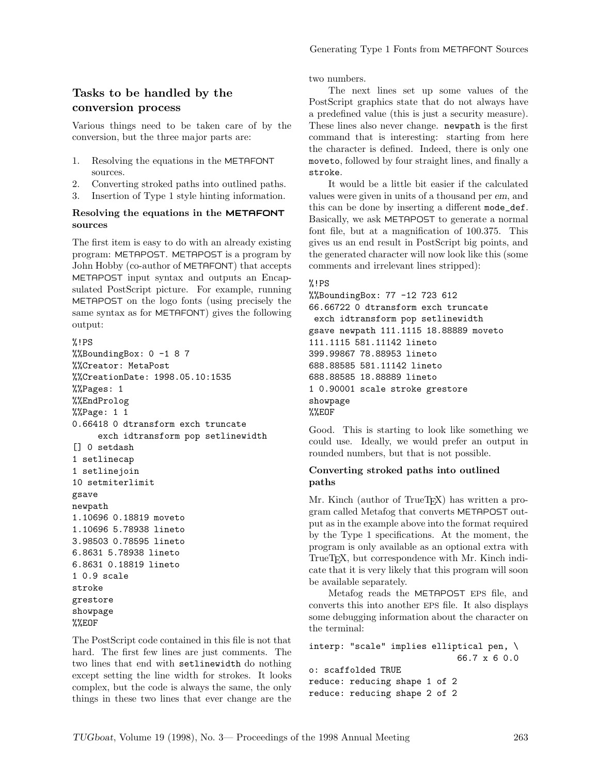# Tasks to be handled by the conversion process

Various things need to be taken care of by the conversion, but the three major parts are:

- 1. Resolving the equations in the METAFONT sources.
- 2. Converting stroked paths into outlined paths.
- 3. Insertion of Type 1 style hinting information.

## Resolving the equations in the METAFONT sources

The first item is easy to do with an already existing program: METAPOST. METAPOST is a program by John Hobby (co-author of METAFONT) that accepts METAPOST input syntax and outputs an Encapsulated PostScript picture. For example, running METAPOST on the logo fonts (using precisely the same syntax as for METAFONT) gives the following output:

```
%!PS
%%BoundingBox: 0 -1 8 7
%%Creator: MetaPost
%%CreationDate: 1998.05.10:1535
%%Pages: 1
%%EndProlog
%%Page: 1 1
0.66418 0 dtransform exch truncate
     exch idtransform pop setlinewidth
[] 0 setdash
1 setlinecap
1 setlinejoin
10 setmiterlimit
gsave
newpath
1.10696 0.18819 moveto
1.10696 5.78938 lineto
3.98503 0.78595 lineto
6.8631 5.78938 lineto
6.8631 0.18819 lineto
1 0.9 scale
stroke
grestore
showpage
```

```
%%EOF
```
The PostScript code contained in this file is not that hard. The first few lines are just comments. The two lines that end with setlinewidth do nothing except setting the line width for strokes. It looks complex, but the code is always the same, the only things in these two lines that ever change are the two numbers.

The next lines set up some values of the PostScript graphics state that do not always have a predefined value (this is just a security measure). These lines also never change. newpath is the first command that is interesting: starting from here the character is defined. Indeed, there is only one moveto, followed by four straight lines, and finally a stroke.

It would be a little bit easier if the calculated values were given in units of a thousand per em, and this can be done by inserting a different mode\_def. Basically, we ask METAPOST to generate a normal font file, but at a magnification of 100.375. This gives us an end result in PostScript big points, and the generated character will now look like this (some comments and irrelevant lines stripped):

## %!PS

```
%%BoundingBox: 77 -12 723 612
66.66722 0 dtransform exch truncate
 exch idtransform pop setlinewidth
gsave newpath 111.1115 18.88889 moveto
111.1115 581.11142 lineto
399.99867 78.88953 lineto
688.88585 581.11142 lineto
688.88585 18.88889 lineto
1 0.90001 scale stroke grestore
showpage
%%EOF
```
Good. This is starting to look like something we could use. Ideally, we would prefer an output in rounded numbers, but that is not possible.

## Converting stroked paths into outlined paths

Mr. Kinch (author of TrueT<sub>EX</sub>) has written a program called Metafog that converts METAPOST output as in the example above into the format required by the Type 1 specifications. At the moment, the program is only available as an optional extra with TrueT<sub>EX</sub>, but correspondence with Mr. Kinch indicate that it is very likely that this program will soon be available separately.

Metafog reads the METAPOST EPS file, and converts this into another EPS file. It also displays some debugging information about the character on the terminal:

```
interp: "scale" implies elliptical pen, \
                             66.7 x 6 0.0
o: scaffolded TRUE
reduce: reducing shape 1 of 2
reduce: reducing shape 2 of 2
```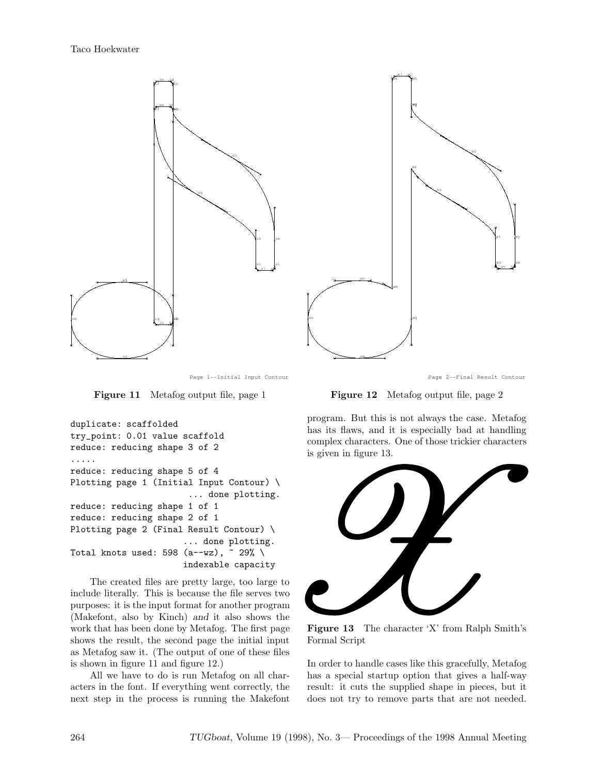

Page 1--Initial Input Contour

Figure 11 Metafog output file, page 1

```
duplicate: scaffolded
try_point: 0.01 value scaffold
reduce: reducing shape 3 of 2
.....
reduce: reducing shape 5 of 4
Plotting page 1 (Initial Input Contour) \
                        ... done plotting.
reduce: reducing shape 1 of 1
reduce: reducing shape 2 of 1
Plotting page 2 (Final Result Contour) \
                       ... done plotting.
Total knots used: 598 (a--wz), \degree 29% \
                       indexable capacity
```
The created files are pretty large, too large to include literally. This is because the file serves two purposes: it is the input format for another program (Makefont, also by Kinch) and it also shows the work that has been done by Metafog. The first page shows the result, the second page the initial input as Metafog saw it. (The output of one of these files is shown in figure 11 and figure 12.)

All we have to do is run Metafog on all characters in the font. If everything went correctly, the next step in the process is running the Makefont



Page 2--Final Result Contour

Figure 12 Metafog output file, page 2

program. But this is not always the case. Metafog has its flaws, and it is especially bad at handling complex characters. One of those trickier characters is given in figure 13.



Figure 13 The character 'X' from Ralph Smith's Formal Script

In order to handle cases like this gracefully, Metafog has a special startup option that gives a half-way result: it cuts the supplied shape in pieces, but it does not try to remove parts that are not needed.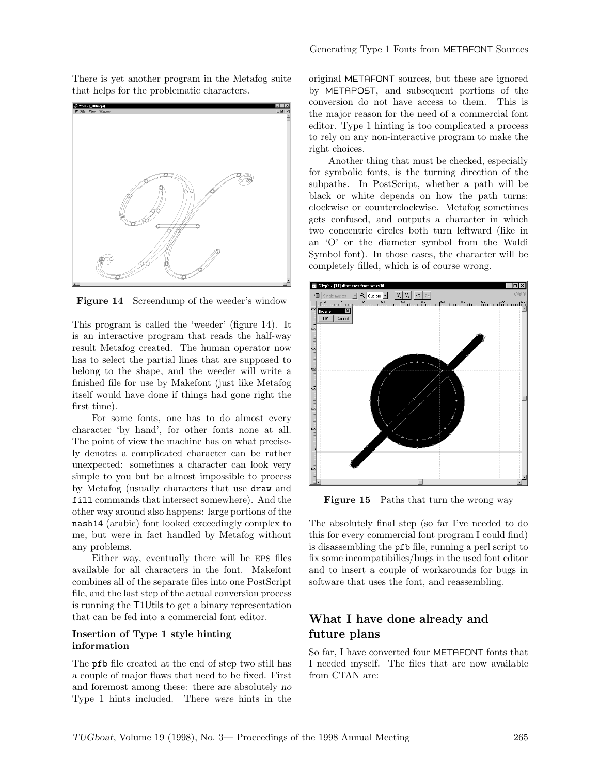There is yet another program in the Metafog suite that helps for the problematic characters.



Figure 14 Screendump of the weeder's window

This program is called the 'weeder' (figure 14). It is an interactive program that reads the half-way result Metafog created. The human operator now has to select the partial lines that are supposed to belong to the shape, and the weeder will write a finished file for use by Makefont (just like Metafog itself would have done if things had gone right the first time).

For some fonts, one has to do almost every character 'by hand', for other fonts none at all. The point of view the machine has on what precisely denotes a complicated character can be rather unexpected: sometimes a character can look very simple to you but be almost impossible to process by Metafog (usually characters that use draw and fill commands that intersect somewhere). And the other way around also happens: large portions of the nash14 (arabic) font looked exceedingly complex to me, but were in fact handled by Metafog without any problems.

Either way, eventually there will be EPS files available for all characters in the font. Makefont combines all of the separate files into one PostScript file, and the last step of the actual conversion process is running the T1Utils to get a binary representation that can be fed into a commercial font editor.

## Insertion of Type 1 style hinting information

The pfb file created at the end of step two still has a couple of major flaws that need to be fixed. First and foremost among these: there are absolutely no Type 1 hints included. There were hints in the original METAFONT sources, but these are ignored by METAPOST, and subsequent portions of the conversion do not have access to them. This is the major reason for the need of a commercial font editor. Type 1 hinting is too complicated a process to rely on any non-interactive program to make the right choices.

Another thing that must be checked, especially for symbolic fonts, is the turning direction of the subpaths. In PostScript, whether a path will be black or white depends on how the path turns: clockwise or counterclockwise. Metafog sometimes gets confused, and outputs a character in which two concentric circles both turn leftward (like in an 'O' or the diameter symbol from the Waldi Symbol font). In those cases, the character will be completely filled, which is of course wrong.



Figure 15 Paths that turn the wrong way

The absolutely final step (so far I've needed to do this for every commercial font program I could find) is disassembling the pfb file, running a perl script to fix some incompatibilies/bugs in the used font editor and to insert a couple of workarounds for bugs in software that uses the font, and reassembling.

# What I have done already and future plans

So far, I have converted four METAFONT fonts that I needed myself. The files that are now available from CTAN are: